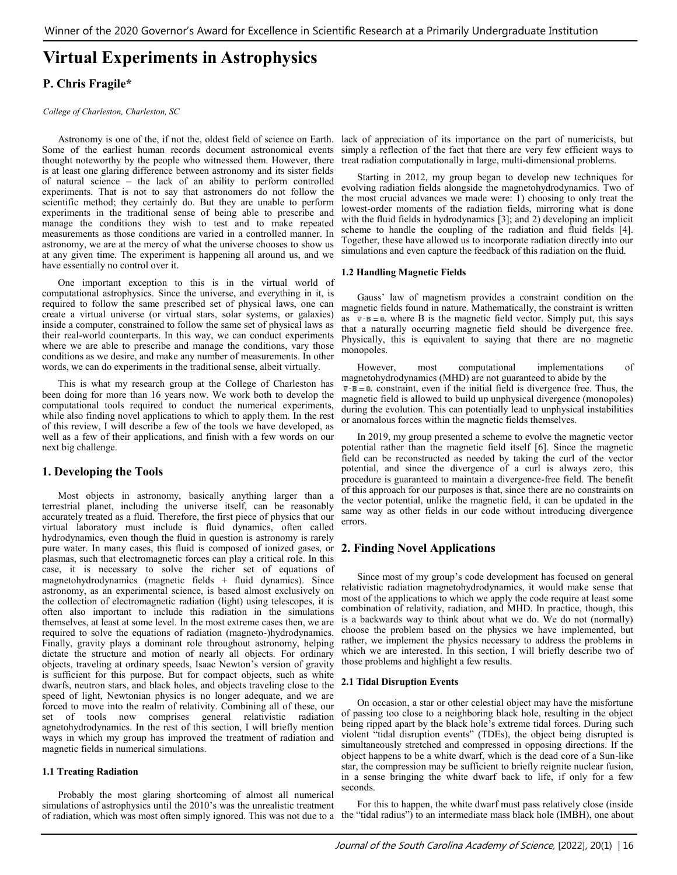# **Virtual Experiments in Astrophysics**

# **P. Chris Fragile\***

#### *College of Charleston, Charleston, SC*

Some of the earliest human records document astronomical events simply a reflection of the fact that there are very few efficient ways to thought noteworthy by the people who witnessed them. However, there is at least one glaring difference between astronomy and its sister fields of natural science – the lack of an ability to perform controlled experiments. That is not to say that astronomers do not follow the scientific method; they certainly do. But they are unable to perform experiments in the traditional sense of being able to prescribe and manage the conditions they wish to test and to make repeated measurements as those conditions are varied in a controlled manner. In astronomy, we are at the mercy of what the universe chooses to show us at any given time. The experiment is happening all around us, and we have essentially no control over it.

One important exception to this is in the virtual world of computational astrophysics. Since the universe, and everything in it, is required to follow the same prescribed set of physical laws, one can create a virtual universe (or virtual stars, solar systems, or galaxies) inside a computer, constrained to follow the same set of physical laws as their real-world counterparts. In this way, we can conduct experiments where we are able to prescribe and manage the conditions, vary those conditions as we desire, and make any number of measurements. In other words, we can do experiments in the traditional sense, albeit virtually.

This is what my research group at the College of Charleston has been doing for more than 16 years now. We work both to develop the computational tools required to conduct the numerical experiments, while also finding novel applications to which to apply them. In the rest of this review, I will describe a few of the tools we have developed, as well as a few of their applications, and finish with a few words on our next big challenge.

# **1. Developing the Tools**

Most objects in astronomy, basically anything larger than a terrestrial planet, including the universe itself, can be reasonably accurately treated as a fluid. Therefore, the first piece of physics that our virtual laboratory must include is fluid dynamics, often called hydrodynamics, even though the fluid in question is astronomy is rarely pure water. In many cases, this fluid is composed of ionized gases, or plasmas, such that electromagnetic forces can play a critical role. In this case, it is necessary to solve the richer set of equations of magnetohydrodynamics (magnetic fields + fluid dynamics). Since astronomy, as an experimental science, is based almost exclusively on the collection of electromagnetic radiation (light) using telescopes, it is often also important to include this radiation in the simulations themselves, at least at some level. In the most extreme cases then, we are required to solve the equations of radiation (magneto-)hydrodynamics. Finally, gravity plays a dominant role throughout astronomy, helping dictate the structure and motion of nearly all objects. For ordinary objects, traveling at ordinary speeds, Isaac Newton's version of gravity is sufficient for this purpose. But for compact objects, such as white dwarfs, neutron stars, and black holes, and objects traveling close to the speed of light, Newtonian physics is no longer adequate, and we are forced to move into the realm of relativity. Combining all of these, our set of tools now comprises general relativistic radiation agnetohydrodynamics. In the rest of this section, I will briefly mention ways in which my group has improved the treatment of radiation and magnetic fields in numerical simulations.

## **1.1 Treating Radiation**

Probably the most glaring shortcoming of almost all numerical simulations of astrophysics until the 2010's was the unrealistic treatment of radiation, which was most often simply ignored. This was not due to a the "tidal radius") to an intermediate mass black hole (IMBH), one about

Astronomy is one of the, if not the, oldest field of science on Earth. lack of appreciation of its importance on the part of numericists, but treat radiation computationally in large, multi-dimensional problems.

> Starting in 2012, my group began to develop new techniques for evolving radiation fields alongside the magnetohydrodynamics. Two of the most crucial advances we made were: 1) choosing to only treat the lowest-order moments of the radiation fields, mirroring what is done with the fluid fields in hydrodynamics [3]; and 2) developing an implicit scheme to handle the coupling of the radiation and fluid fields [4]. Together, these have allowed us to incorporate radiation directly into our simulations and even capture the feedback of this radiation on the fluid.

## **1.2 Handling Magnetic Fields**

Gauss' law of magnetism provides a constraint condition on the magnetic fields found in nature. Mathematically, the constraint is written as  $\nabla \cdot \mathbf{B} = \mathbf{0}$ , where B is the magnetic field vector. Simply put, this says that a naturally occurring magnetic field should be divergence free. Physically, this is equivalent to saying that there are no magnetic monopoles.

However, most computational implementations of magnetohydrodynamics (MHD) are not guaranteed to abide by the  $\nabla \cdot \mathbf{B} = 0$ , constraint, even if the initial field is divergence free. Thus, the magnetic field is allowed to build up unphysical divergence (monopoles) during the evolution. This can potentially lead to unphysical instabilities or anomalous forces within the magnetic fields themselves.

In 2019, my group presented a scheme to evolve the magnetic vector potential rather than the magnetic field itself [6]. Since the magnetic field can be reconstructed as needed by taking the curl of the vector potential, and since the divergence of a curl is always zero, this procedure is guaranteed to maintain a divergence-free field. The benefit of this approach for our purposes is that, since there are no constraints on the vector potential, unlike the magnetic field, it can be updated in the same way as other fields in our code without introducing divergence errors.

# **2. Finding Novel Applications**

Since most of my group's code development has focused on general relativistic radiation magnetohydrodynamics, it would make sense that most of the applications to which we apply the code require at least some combination of relativity, radiation, and MHD. In practice, though, this is a backwards way to think about what we do. We do not (normally) choose the problem based on the physics we have implemented, but rather, we implement the physics necessary to address the problems in which we are interested. In this section, I will briefly describe two of those problems and highlight a few results.

## **2.1 Tidal Disruption Events**

On occasion, a star or other celestial object may have the misfortune of passing too close to a neighboring black hole, resulting in the object being ripped apart by the black hole's extreme tidal forces. During such violent "tidal disruption events" (TDEs), the object being disrupted is simultaneously stretched and compressed in opposing directions. If the object happens to be a white dwarf, which is the dead core of a Sun-like star, the compression may be sufficient to briefly reignite nuclear fusion, in a sense bringing the white dwarf back to life, if only for a few seconds.

For this to happen, the white dwarf must pass relatively close (inside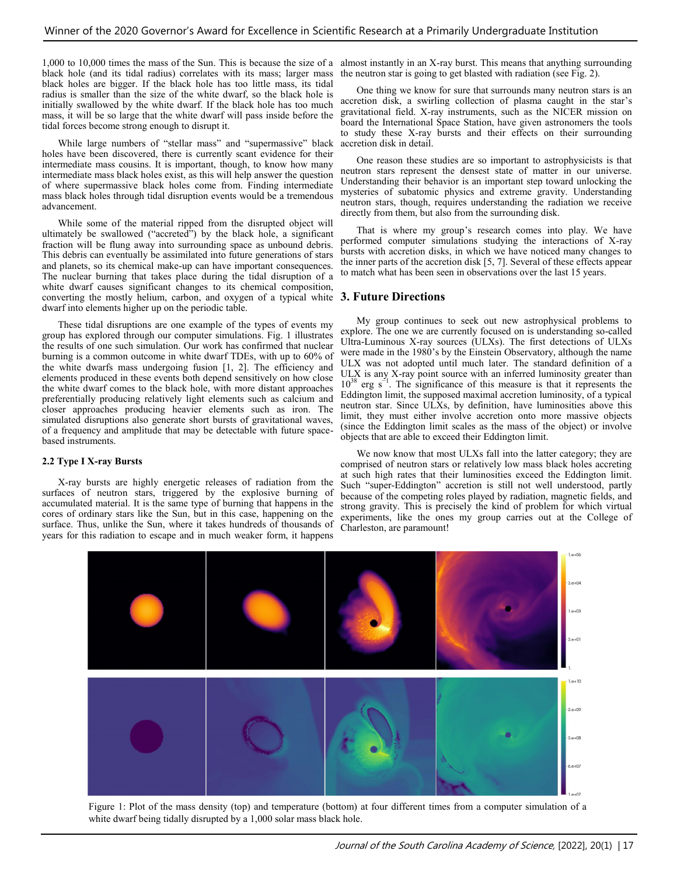black hole (and its tidal radius) correlates with its mass; larger mass black holes are bigger. If the black hole has too little mass, its tidal radius is smaller than the size of the white dwarf, so the black hole is initially swallowed by the white dwarf. If the black hole has too much mass, it will be so large that the white dwarf will pass inside before the tidal forces become strong enough to disrupt it.

While large numbers of "stellar mass" and "supermassive" black holes have been discovered, there is currently scant evidence for their intermediate mass cousins. It is important, though, to know how many intermediate mass black holes exist, as this will help answer the question of where supermassive black holes come from. Finding intermediate mass black holes through tidal disruption events would be a tremendous advancement.

While some of the material ripped from the disrupted object will ultimately be swallowed ("accreted") by the black hole, a significant fraction will be flung away into surrounding space as unbound debris. This debris can eventually be assimilated into future generations of stars and planets, so its chemical make-up can have important consequences. The nuclear burning that takes place during the tidal disruption of a white dwarf causes significant changes to its chemical composition, converting the mostly helium, carbon, and oxygen of a typical white **3. Future Directions** dwarf into elements higher up on the periodic table.

These tidal disruptions are one example of the types of events my group has explored through our computer simulations. Fig. 1 illustrates the results of one such simulation. Our work has confirmed that nuclear burning is a common outcome in white dwarf TDEs, with up to 60% of the white dwarfs mass undergoing fusion [1, 2]. The efficiency and elements produced in these events both depend sensitively on how close the white dwarf comes to the black hole, with more distant approaches preferentially producing relatively light elements such as calcium and closer approaches producing heavier elements such as iron. The simulated disruptions also generate short bursts of gravitational waves, of a frequency and amplitude that may be detectable with future spacebased instruments.

## **2.2 Type I X-ray Bursts**

X-ray bursts are highly energetic releases of radiation from the surfaces of neutron stars, triggered by the explosive burning of accumulated material. It is the same type of burning that happens in the cores of ordinary stars like the Sun, but in this case, happening on the surface. Thus, unlike the Sun, where it takes hundreds of thousands of years for this radiation to escape and in much weaker form, it happens

1,000 to 10,000 times the mass of the Sun. This is because the size of a almost instantly in an X-ray burst. This means that anything surrounding the neutron star is going to get blasted with radiation (see Fig. 2).

> One thing we know for sure that surrounds many neutron stars is an accretion disk, a swirling collection of plasma caught in the star's gravitational field. X-ray instruments, such as the NICER mission on board the International Space Station, have given astronomers the tools to study these X-ray bursts and their effects on their surrounding accretion disk in detail.

> One reason these studies are so important to astrophysicists is that neutron stars represent the densest state of matter in our universe. Understanding their behavior is an important step toward unlocking the mysteries of subatomic physics and extreme gravity. Understanding neutron stars, though, requires understanding the radiation we receive directly from them, but also from the surrounding disk.

> That is where my group's research comes into play. We have performed computer simulations studying the interactions of X-ray bursts with accretion disks, in which we have noticed many changes to the inner parts of the accretion disk [5, 7]. Several of these effects appear to match what has been seen in observations over the last 15 years.

My group continues to seek out new astrophysical problems to explore. The one we are currently focused on is understanding so-called Ultra-Luminous X-ray sources (ULXs). The first detections of ULXs were made in the 1980's by the Einstein Observatory, although the name ULX was not adopted until much later. The standard definition of a ULX is any X-ray point source with an inferred luminosity greater than  $10^{38}$  erg s<sup> $-1$ </sup>. The significance of this measure is that it represents the  $10^{-8}$  erg s<sup>-1</sup>. The significance of this measure is that it represents the Eddington limit, the supposed maximal accretion luminosity, of a typical neutron star. Since ULXs, by definition, have luminosities above this limit, they must either involve accretion onto more massive objects (since the Eddington limit scales as the mass of the object) or involve objects that are able to exceed their Eddington limit.

We now know that most ULXs fall into the latter category; they are comprised of neutron stars or relatively low mass black holes accreting at such high rates that their luminosities exceed the Eddington limit. Such "super-Eddington" accretion is still not well understood, partly because of the competing roles played by radiation, magnetic fields, and strong gravity. This is precisely the kind of problem for which virtual experiments, like the ones my group carries out at the College of Charleston, are paramount!



Figure 1: Plot of the mass density (top) and temperature (bottom) at four different times from a computer simulation of a white dwarf being tidally disrupted by a 1,000 solar mass black hole.